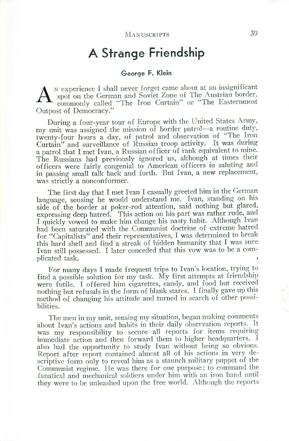## **A Strange Friendship**

## George **F. Klein**

A <sup>N</sup> experience I shall never forget came about at an insignificant spot on the German and Soviet Zone of The Austrian border, commonly called "The Iron Curtain" or "The Easternmost" spot on the German and Soviet Zone of The Austrian border. commonly called "The Iron Curtain" or "The Easternmost Outpost of Democracy."

During a four-year tour of Europe with the United States Army, my unit was assigned the mission of border patrol-a routine duty, twenty-four hours a day, of patrol and observation of "The Iron Curtain" and surveillance of Russian troop activity. It was during a patrol that I met Ivan, a Russian officer of rank equivalent to mine. The Russians had previously ignored us, although at times their officers were fairly congenial to American officers in saluting and in passing small talk back and forth. But Ivan, a new replacement, was strictly a nonconformer.

The first day that I met Ivan I casually greeted him in the German language, sensing he would understand me. Ivan, standing on his side of the border at poker-rod attention, said nothing but glared, expressing deep hatred. This action on his part was rather rude, and I quickly vowed to make him change his nasty habit. Although Ivan had been saturated with the Communist doctrine of extreme hatred for "Capitalists" and their representatives, I was determined to break this hard shell and find a streak of hidden humanity that I was sure Ivan still possessed. I later conceded that this vow was to be a complicated task.

For many days I made frequent trips to Ivan's location, trying to find a possible solution for my task. My first attempts at friendship were futile. I offered him cigarettes, candy, and food but received nothing but refusals in the form of blank stares. I finally gave up this method of changing his attitude and turned in search of other possibilities.

The men in my unit, sensing my situation, began making comments about Ivan's actions and habits in their daily observation reports. It was my responsibility to secure all reports for items requiring immediate action and then forward them to higher headquarters. I also had the opportunity to study Ivan without being so obvious. Report after report contained almost all of his actions in very descriptive form only to reveal him as a staunch military puppet of the Communist regime. He was there for one purpose: to command the fanatical and mechanical soldiers under him with an iron hand until they were to be unleashed upon the free world. Although the reports